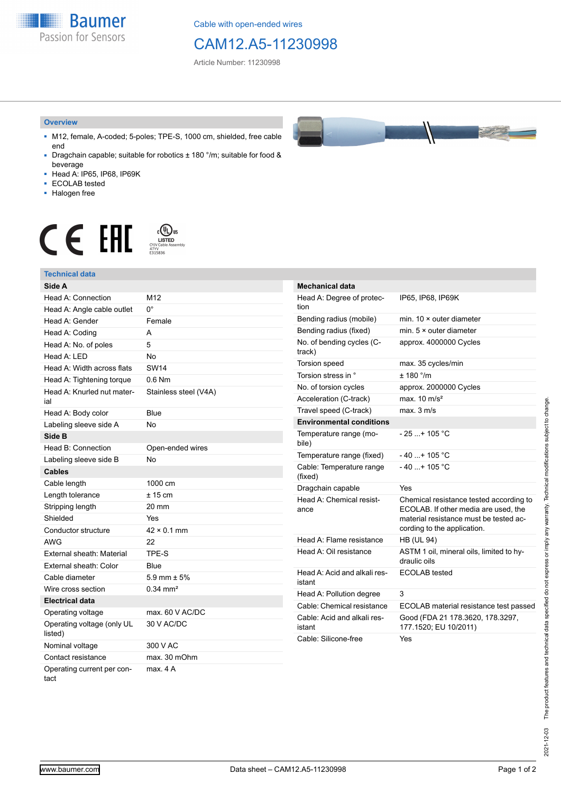**Baumer** Passion for Sensors

Cable with open-ended wires

## CAM12.A5-11230998

Article Number: 11230998

#### **Overview**

- M12, female, A-coded; 5-poles; TPE-S, 1000 cm, shielded, free cable end
- Dragchain capable; suitable for robotics ± 180 °/m; suitable for food & beverage
- Head A: IP65, IP68, IP69K
- ECOLAB tested
- Halogen free

# $\displaystyle \mathop{\mathsf{C}}\limits_{\substack{\mathsf{C} \text{YJV Cable Asser}\ \text{47YY} \ \text{47YY}}} \mathop{\mathsf{LISTED}}\limits_{\substack{\mathsf{C} \text{47YY} \ \text{E}315836}}$ **CE EAL**

### **Technical data**

| Side A                                |                       |
|---------------------------------------|-----------------------|
| Head A: Connection                    | M <sub>12</sub>       |
| Head A: Angle cable outlet            | 0°                    |
| Head A: Gender                        | Female                |
| Head A: Coding                        | A                     |
| Head A: No. of poles                  | 5                     |
| Head A: LED                           | No                    |
| Head A: Width across flats            | <b>SW14</b>           |
| Head A: Tightening torque             | $0.6$ Nm              |
| Head A: Knurled nut mater-<br>ial     | Stainless steel (V4A) |
| Head A: Body color                    | Blue                  |
| Labeling sleeve side A                | No                    |
| Side B                                |                       |
| Head B: Connection                    | Open-ended wires      |
| Labeling sleeve side B                | No                    |
| <b>Cables</b>                         |                       |
| Cable length                          | 1000 cm               |
| Length tolerance                      | $± 15$ cm             |
| Stripping length                      | 20 mm                 |
| Shielded                              | Yes                   |
| Conductor structure                   | $42 \times 0.1$ mm    |
| <b>AWG</b>                            | 22                    |
| External sheath: Material             | TPE-S                 |
| External sheath: Color                | Blue                  |
| Cable diameter                        | 5.9 mm $\pm$ 5%       |
| Wire cross section                    | $0.34 \text{ mm}^2$   |
| <b>Electrical data</b>                |                       |
| Operating voltage                     | max. 60 V AC/DC       |
| Operating voltage (only UL<br>listed) | 30 V AC/DC            |
| Nominal voltage                       | 300 V AC              |
| Contact resistance                    | max. 30 mOhm          |
| Operating current per con-<br>tact    | max 4 A               |

| <b>Mechanical data</b>                |                                                                                                                                                          |
|---------------------------------------|----------------------------------------------------------------------------------------------------------------------------------------------------------|
| Head A: Degree of protec-<br>tion     | IP65, IP68, IP69K                                                                                                                                        |
| Bending radius (mobile)               | min. $10 \times$ outer diameter                                                                                                                          |
| Bending radius (fixed)                | min. $5 \times$ outer diameter                                                                                                                           |
| No. of bending cycles (C-<br>track)   | approx. 4000000 Cycles                                                                                                                                   |
| <b>Torsion speed</b>                  | max. 35 cycles/min                                                                                                                                       |
| Torsion stress in °                   | ± 180 °/m                                                                                                                                                |
| No. of torsion cycles                 | approx. 2000000 Cycles                                                                                                                                   |
| Acceleration (C-track)                | max $10 \text{ m/s}^2$                                                                                                                                   |
| Travel speed (C-track)                | max. 3 m/s                                                                                                                                               |
| <b>Environmental conditions</b>       |                                                                                                                                                          |
| Temperature range (mo-<br>bile)       | - 25 + 105 °C                                                                                                                                            |
| Temperature range (fixed)             | $-40+105 °C$                                                                                                                                             |
| Cable: Temperature range<br>(fixed)   | $-40$ + 105 °C                                                                                                                                           |
| Dragchain capable                     | Yes                                                                                                                                                      |
| Head A: Chemical resist-<br>ance      | Chemical resistance tested according to<br>ECOLAB. If other media are used, the<br>material resistance must be tested ac-<br>cording to the application. |
| Head A: Flame resistance              | <b>HB (UL 94)</b>                                                                                                                                        |
| Head A: Oil resistance                | ASTM 1 oil, mineral oils, limited to hy-<br>draulic oils                                                                                                 |
| Head A: Acid and alkali res-          |                                                                                                                                                          |
| istant                                | ECOLAB tested                                                                                                                                            |
| Head A: Pollution degree              | 3                                                                                                                                                        |
| Cable: Chemical resistance            | ECOLAB material resistance test passed                                                                                                                   |
| Cable: Acid and alkali res-<br>istant | Good (FDA 21 178.3620, 178.3297,<br>177.1520; EU 10/2011)                                                                                                |